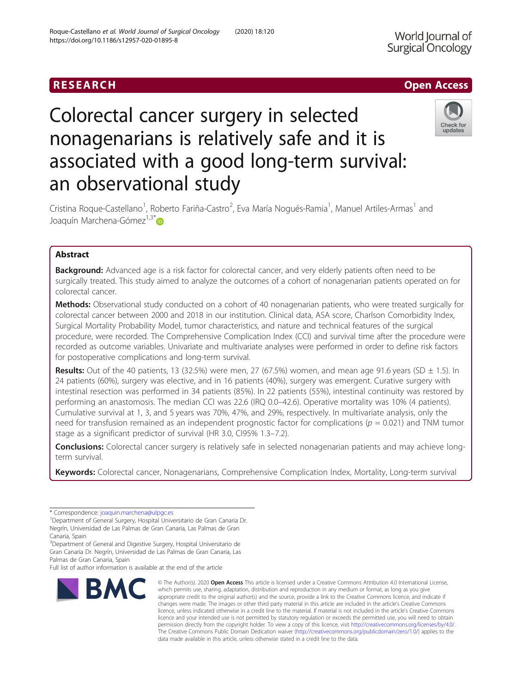World Journal of Surgical Oncology

# Colorectal cancer surgery in selected nonagenarians is relatively safe and it is associated with a good long-term survival: an observational study



Cristina Roque-Castellano<sup>1</sup>, Roberto Fariña-Castro<sup>2</sup>, Eva María Nogués-Ramia<sup>1</sup>, Manuel Artiles-Armas<sup>1</sup> and Joaquín Marchena-Gómez<sup>1,3[\\*](http://orcid.org/0000-0002-7362-1110)</sup>®

# Abstract

**Background:** Advanced age is a risk factor for colorectal cancer, and very elderly patients often need to be surgically treated. This study aimed to analyze the outcomes of a cohort of nonagenarian patients operated on for colorectal cancer.

Methods: Observational study conducted on a cohort of 40 nonagenarian patients, who were treated surgically for colorectal cancer between 2000 and 2018 in our institution. Clinical data, ASA score, Charlson Comorbidity Index, Surgical Mortality Probability Model, tumor characteristics, and nature and technical features of the surgical procedure, were recorded. The Comprehensive Complication Index (CCI) and survival time after the procedure were recorded as outcome variables. Univariate and multivariate analyses were performed in order to define risk factors for postoperative complications and long-term survival.

Results: Out of the 40 patients, 13 (32.5%) were men, 27 (67.5%) women, and mean age 91.6 years (SD  $\pm$  1.5). In 24 patients (60%), surgery was elective, and in 16 patients (40%), surgery was emergent. Curative surgery with intestinal resection was performed in 34 patients (85%). In 22 patients (55%), intestinal continuity was restored by performing an anastomosis. The median CCI was 22.6 (IRQ 0.0–42.6). Operative mortality was 10% (4 patients). Cumulative survival at 1, 3, and 5 years was 70%, 47%, and 29%, respectively. In multivariate analysis, only the need for transfusion remained as an independent prognostic factor for complications ( $p = 0.021$ ) and TNM tumor stage as a significant predictor of survival (HR 3.0, CI95% 1.3–7.2).

Conclusions: Colorectal cancer surgery is relatively safe in selected nonagenarian patients and may achieve longterm survival.

Keywords: Colorectal cancer, Nonagenarians, Comprehensive Complication Index, Mortality, Long-term survival

Palmas de Gran Canaria, Spain

Full list of author information is available at the end of the article



<sup>©</sup> The Author(s), 2020 **Open Access** This article is licensed under a Creative Commons Attribution 4.0 International License, which permits use, sharing, adaptation, distribution and reproduction in any medium or format, as long as you give appropriate credit to the original author(s) and the source, provide a link to the Creative Commons licence, and indicate if changes were made. The images or other third party material in this article are included in the article's Creative Commons licence, unless indicated otherwise in a credit line to the material. If material is not included in the article's Creative Commons licence and your intended use is not permitted by statutory regulation or exceeds the permitted use, you will need to obtain permission directly from the copyright holder. To view a copy of this licence, visit [http://creativecommons.org/licenses/by/4.0/.](http://creativecommons.org/licenses/by/4.0/) The Creative Commons Public Domain Dedication waiver [\(http://creativecommons.org/publicdomain/zero/1.0/](http://creativecommons.org/publicdomain/zero/1.0/)) applies to the data made available in this article, unless otherwise stated in a credit line to the data.

<sup>\*</sup> Correspondence: [joaquin.marchena@ulpgc.es](mailto:joaquin.marchena@ulpgc.es) <sup>1</sup>

Department of General Surgery, Hospital Universitario de Gran Canaria Dr. Negrín, Universidad de Las Palmas de Gran Canaria, Las Palmas de Gran Canaria, Spain

<sup>&</sup>lt;sup>3</sup>Department of General and Digestive Surgery, Hospital Universitario de Gran Canaria Dr. Negrín, Universidad de Las Palmas de Gran Canaria, Las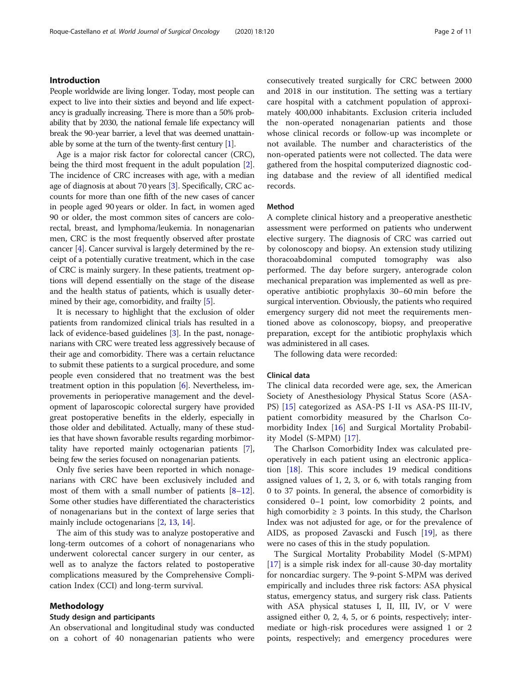# Introduction

People worldwide are living longer. Today, most people can expect to live into their sixties and beyond and life expectancy is gradually increasing. There is more than a 50% probability that by 2030, the national female life expectancy will break the 90-year barrier, a level that was deemed unattainable by some at the turn of the twenty-first century [\[1](#page-9-0)].

Age is a major risk factor for colorectal cancer (CRC), being the third most frequent in the adult population [[2](#page-9-0)]. The incidence of CRC increases with age, with a median age of diagnosis at about 70 years [\[3](#page-9-0)]. Specifically, CRC accounts for more than one fifth of the new cases of cancer in people aged 90 years or older. In fact, in women aged 90 or older, the most common sites of cancers are colorectal, breast, and lymphoma/leukemia. In nonagenarian men, CRC is the most frequently observed after prostate cancer [[4](#page-9-0)]. Cancer survival is largely determined by the receipt of a potentially curative treatment, which in the case of CRC is mainly surgery. In these patients, treatment options will depend essentially on the stage of the disease and the health status of patients, which is usually deter-mined by their age, comorbidity, and frailty [\[5](#page-9-0)].

It is necessary to highlight that the exclusion of older patients from randomized clinical trials has resulted in a lack of evidence-based guidelines [\[3](#page-9-0)]. In the past, nonagenarians with CRC were treated less aggressively because of their age and comorbidity. There was a certain reluctance to submit these patients to a surgical procedure, and some people even considered that no treatment was the best treatment option in this population [\[6\]](#page-9-0). Nevertheless, improvements in perioperative management and the development of laparoscopic colorectal surgery have provided great postoperative benefits in the elderly, especially in those older and debilitated. Actually, many of these studies that have shown favorable results regarding morbimortality have reported mainly octogenarian patients [[7](#page-9-0)], being few the series focused on nonagenarian patients.

Only five series have been reported in which nonagenarians with CRC have been exclusively included and most of them with a small number of patients  $[8-12]$  $[8-12]$  $[8-12]$  $[8-12]$  $[8-12]$ . Some other studies have differentiated the characteristics of nonagenarians but in the context of large series that mainly include octogenarians [[2](#page-9-0), [13](#page-10-0), [14](#page-10-0)].

The aim of this study was to analyze postoperative and long-term outcomes of a cohort of nonagenarians who underwent colorectal cancer surgery in our center, as well as to analyze the factors related to postoperative complications measured by the Comprehensive Complication Index (CCI) and long-term survival.

# Methodology

### Study design and participants

An observational and longitudinal study was conducted on a cohort of 40 nonagenarian patients who were consecutively treated surgically for CRC between 2000 and 2018 in our institution. The setting was a tertiary care hospital with a catchment population of approximately 400,000 inhabitants. Exclusion criteria included the non-operated nonagenarian patients and those whose clinical records or follow-up was incomplete or not available. The number and characteristics of the non-operated patients were not collected. The data were gathered from the hospital computerized diagnostic coding database and the review of all identified medical records.

#### Method

A complete clinical history and a preoperative anesthetic assessment were performed on patients who underwent elective surgery. The diagnosis of CRC was carried out by colonoscopy and biopsy. An extension study utilizing thoracoabdominal computed tomography was also performed. The day before surgery, anterograde colon mechanical preparation was implemented as well as preoperative antibiotic prophylaxis 30–60 min before the surgical intervention. Obviously, the patients who required emergency surgery did not meet the requirements mentioned above as colonoscopy, biopsy, and preoperative preparation, except for the antibiotic prophylaxis which was administered in all cases.

The following data were recorded:

# Clinical data

The clinical data recorded were age, sex, the American Society of Anesthesiology Physical Status Score (ASA-PS) [[15\]](#page-10-0) categorized as ASA-PS I-II vs ASA-PS III-IV, patient comorbidity measured by the Charlson Comorbidity Index [\[16](#page-10-0)] and Surgical Mortality Probability Model (S-MPM) [\[17](#page-10-0)].

The Charlson Comorbidity Index was calculated preoperatively in each patient using an electronic application [\[18\]](#page-10-0). This score includes 19 medical conditions assigned values of 1, 2, 3, or 6, with totals ranging from 0 to 37 points. In general, the absence of comorbidity is considered 0–1 point, low comorbidity 2 points, and high comorbidity  $\geq$  3 points. In this study, the Charlson Index was not adjusted for age, or for the prevalence of AIDS, as proposed Zavascki and Fusch [[19\]](#page-10-0), as there were no cases of this in the study population.

The Surgical Mortality Probability Model (S-MPM) [[17\]](#page-10-0) is a simple risk index for all-cause 30-day mortality for noncardiac surgery. The 9-point S-MPM was derived empirically and includes three risk factors: ASA physical status, emergency status, and surgery risk class. Patients with ASA physical statuses I, II, III, IV, or V were assigned either 0, 2, 4, 5, or 6 points, respectively; intermediate or high-risk procedures were assigned 1 or 2 points, respectively; and emergency procedures were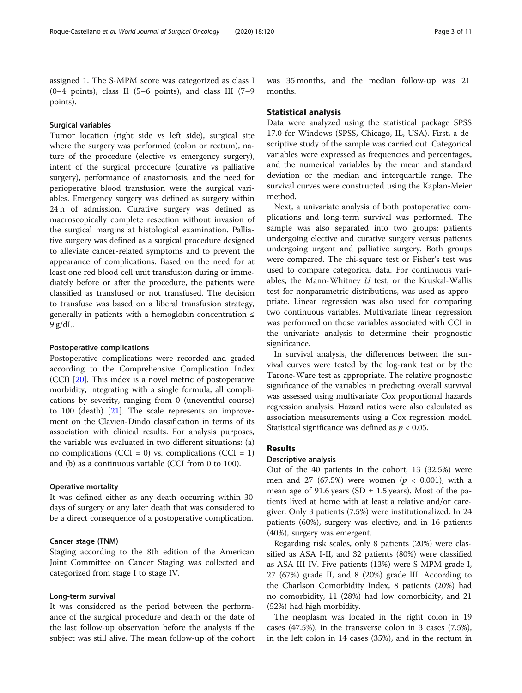assigned 1. The S-MPM score was categorized as class I  $(0-4 \text{ points})$ , class II (5–6 points), and class III (7–9 points).

## Surgical variables

Tumor location (right side vs left side), surgical site where the surgery was performed (colon or rectum), nature of the procedure (elective vs emergency surgery), intent of the surgical procedure (curative vs palliative surgery), performance of anastomosis, and the need for perioperative blood transfusion were the surgical variables. Emergency surgery was defined as surgery within 24 h of admission. Curative surgery was defined as macroscopically complete resection without invasion of the surgical margins at histological examination. Palliative surgery was defined as a surgical procedure designed to alleviate cancer-related symptoms and to prevent the appearance of complications. Based on the need for at least one red blood cell unit transfusion during or immediately before or after the procedure, the patients were classified as transfused or not transfused. The decision to transfuse was based on a liberal transfusion strategy, generally in patients with a hemoglobin concentration ≤ 9 g/dL.

# Postoperative complications

Postoperative complications were recorded and graded according to the Comprehensive Complication Index (CCI) [\[20\]](#page-10-0). This index is a novel metric of postoperative morbidity, integrating with a single formula, all complications by severity, ranging from 0 (uneventful course) to 100 (death) [\[21](#page-10-0)]. The scale represents an improvement on the Clavien-Dindo classification in terms of its association with clinical results. For analysis purposes, the variable was evaluated in two different situations: (a) no complications (CCI = 0) vs. complications (CCI = 1) and (b) as a continuous variable (CCI from 0 to 100).

#### Operative mortality

It was defined either as any death occurring within 30 days of surgery or any later death that was considered to be a direct consequence of a postoperative complication.

# Cancer stage (TNM)

Staging according to the 8th edition of the American Joint Committee on Cancer Staging was collected and categorized from stage I to stage IV.

# Long-term survival

It was considered as the period between the performance of the surgical procedure and death or the date of the last follow-up observation before the analysis if the subject was still alive. The mean follow-up of the cohort was 35 months, and the median follow-up was 21 months.

#### Statistical analysis

Data were analyzed using the statistical package SPSS 17.0 for Windows (SPSS, Chicago, IL, USA). First, a descriptive study of the sample was carried out. Categorical variables were expressed as frequencies and percentages, and the numerical variables by the mean and standard deviation or the median and interquartile range. The survival curves were constructed using the Kaplan-Meier method.

Next, a univariate analysis of both postoperative complications and long-term survival was performed. The sample was also separated into two groups: patients undergoing elective and curative surgery versus patients undergoing urgent and palliative surgery. Both groups were compared. The chi-square test or Fisher's test was used to compare categorical data. For continuous variables, the Mann-Whitney  $U$  test, or the Kruskal-Wallis test for nonparametric distributions, was used as appropriate. Linear regression was also used for comparing two continuous variables. Multivariate linear regression was performed on those variables associated with CCI in the univariate analysis to determine their prognostic significance.

In survival analysis, the differences between the survival curves were tested by the log-rank test or by the Tarone-Ware test as appropriate. The relative prognostic significance of the variables in predicting overall survival was assessed using multivariate Cox proportional hazards regression analysis. Hazard ratios were also calculated as association measurements using a Cox regression model. Statistical significance was defined as  $p < 0.05$ .

# **Results**

#### Descriptive analysis

Out of the 40 patients in the cohort, 13 (32.5%) were men and 27 (67.5%) were women ( $p < 0.001$ ), with a mean age of 91.6 years (SD  $\pm$  1.5 years). Most of the patients lived at home with at least a relative and/or caregiver. Only 3 patients (7.5%) were institutionalized. In 24 patients (60%), surgery was elective, and in 16 patients (40%), surgery was emergent.

Regarding risk scales, only 8 patients (20%) were classified as ASA I-II, and 32 patients (80%) were classified as ASA III-IV. Five patients (13%) were S-MPM grade I, 27 (67%) grade II, and 8 (20%) grade III. According to the Charlson Comorbidity Index, 8 patients (20%) had no comorbidity, 11 (28%) had low comorbidity, and 21 (52%) had high morbidity.

The neoplasm was located in the right colon in 19 cases (47.5%), in the transverse colon in 3 cases (7.5%), in the left colon in 14 cases (35%), and in the rectum in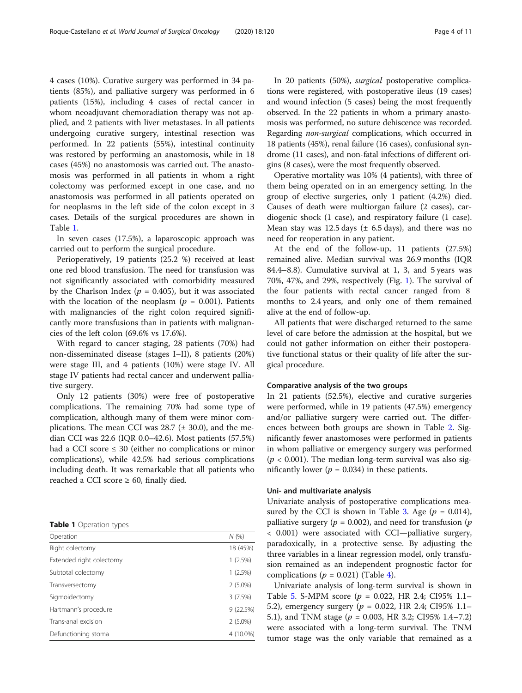4 cases (10%). Curative surgery was performed in 34 patients (85%), and palliative surgery was performed in 6 patients (15%), including 4 cases of rectal cancer in whom neoadjuvant chemoradiation therapy was not applied, and 2 patients with liver metastases. In all patients undergoing curative surgery, intestinal resection was performed. In 22 patients (55%), intestinal continuity was restored by performing an anastomosis, while in 18 cases (45%) no anastomosis was carried out. The anastomosis was performed in all patients in whom a right colectomy was performed except in one case, and no anastomosis was performed in all patients operated on for neoplasms in the left side of the colon except in 3 cases. Details of the surgical procedures are shown in Table 1.

In seven cases (17.5%), a laparoscopic approach was carried out to perform the surgical procedure.

Perioperatively, 19 patients (25.2 %) received at least one red blood transfusion. The need for transfusion was not significantly associated with comorbidity measured by the Charlson Index ( $p = 0.405$ ), but it was associated with the location of the neoplasm ( $p = 0.001$ ). Patients with malignancies of the right colon required significantly more transfusions than in patients with malignancies of the left colon (69.6% vs 17.6%).

With regard to cancer staging, 28 patients (70%) had non-disseminated disease (stages I–II), 8 patients (20%) were stage III, and 4 patients (10%) were stage IV. All stage IV patients had rectal cancer and underwent palliative surgery.

Only 12 patients (30%) were free of postoperative complications. The remaining 70% had some type of complication, although many of them were minor complications. The mean CCI was  $28.7$  ( $\pm$  30.0), and the median CCI was 22.6 (IQR 0.0–42.6). Most patients (57.5%) had a CCI score  $\leq$  30 (either no complications or minor complications), while 42.5% had serious complications including death. It was remarkable that all patients who reached a CCI score  $\geq 60$ , finally died.

Table 1 Operation types

| Operation                | N(%        |
|--------------------------|------------|
| Right colectomy          | 18 (45%)   |
| Extended right colectomy | 1(2.5%)    |
| Subtotal colectomy       | 1(2.5%)    |
| Transversectomy          | $2(5.0\%)$ |
| Sigmoidectomy            | 3(7.5%)    |
| Hartmann's procedure     | 9(22.5%)   |
| Trans-anal excision      | $2(5.0\%)$ |
| Defunctioning stoma      | 4 (10.0%)  |

In 20 patients (50%), surgical postoperative complications were registered, with postoperative ileus (19 cases) and wound infection (5 cases) being the most frequently observed. In the 22 patients in whom a primary anastomosis was performed, no suture dehiscence was recorded. Regarding non-surgical complications, which occurred in 18 patients (45%), renal failure (16 cases), confusional syndrome (11 cases), and non-fatal infections of different origins (8 cases), were the most frequently observed.

Operative mortality was 10% (4 patients), with three of them being operated on in an emergency setting. In the group of elective surgeries, only 1 patient (4.2%) died. Causes of death were multiorgan failure (2 cases), cardiogenic shock (1 case), and respiratory failure (1 case). Mean stay was 12.5 days  $(\pm 6.5 \text{ days})$ , and there was no need for reoperation in any patient.

At the end of the follow-up, 11 patients (27.5%) remained alive. Median survival was 26.9 months (IQR 84.4–8.8). Cumulative survival at 1, 3, and 5 years was 70%, 47%, and 29%, respectively (Fig. [1](#page-4-0)). The survival of the four patients with rectal cancer ranged from 8 months to 2.4 years, and only one of them remained alive at the end of follow-up.

All patients that were discharged returned to the same level of care before the admission at the hospital, but we could not gather information on either their postoperative functional status or their quality of life after the surgical procedure.

# Comparative analysis of the two groups

In 21 patients (52.5%), elective and curative surgeries were performed, while in 19 patients (47.5%) emergency and/or palliative surgery were carried out. The differences between both groups are shown in Table [2](#page-5-0). Significantly fewer anastomoses were performed in patients in whom palliative or emergency surgery was performed  $(p < 0.001)$ . The median long-term survival was also significantly lower ( $p = 0.034$ ) in these patients.

# Uni- and multivariate analysis

Univariate analysis of postoperative complications mea-sured by the CCI is shown in Table [3](#page-6-0). Age ( $p = 0.014$ ), palliative surgery ( $p = 0.002$ ), and need for transfusion ( $p$ < 0.001) were associated with CCI—palliative surgery, paradoxically, in a protective sense. By adjusting the three variables in a linear regression model, only transfusion remained as an independent prognostic factor for complications ( $p = 0.021$ ) (Table [4](#page-6-0)).

Univariate analysis of long-term survival is shown in Table [5.](#page-7-0) S-MPM score ( $p = 0.022$ , HR 2.4; CI95% 1.1– 5.2), emergency surgery ( $p = 0.022$ , HR 2.4; CI95% 1.1– 5.1), and TNM stage ( $p = 0.003$ , HR 3.2; CI95% 1.4–7.2) were associated with a long-term survival. The TNM tumor stage was the only variable that remained as a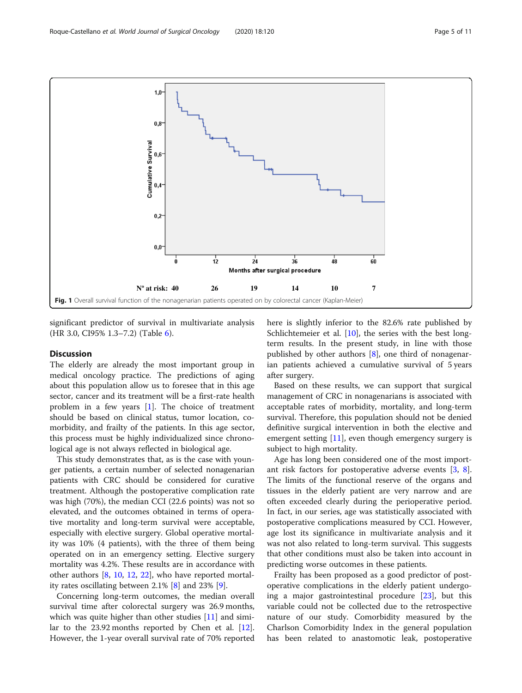<span id="page-4-0"></span>

significant predictor of survival in multivariate analysis (HR 3.0, CI95% 1.3–7.2) (Table [6\)](#page-7-0).

# **Discussion**

The elderly are already the most important group in medical oncology practice. The predictions of aging about this population allow us to foresee that in this age sector, cancer and its treatment will be a first-rate health problem in a few years [\[1](#page-9-0)]. The choice of treatment should be based on clinical status, tumor location, comorbidity, and frailty of the patients. In this age sector, this process must be highly individualized since chronological age is not always reflected in biological age.

This study demonstrates that, as is the case with younger patients, a certain number of selected nonagenarian patients with CRC should be considered for curative treatment. Although the postoperative complication rate was high (70%), the median CCI (22.6 points) was not so elevated, and the outcomes obtained in terms of operative mortality and long-term survival were acceptable, especially with elective surgery. Global operative mortality was 10% (4 patients), with the three of them being operated on in an emergency setting. Elective surgery mortality was 4.2%. These results are in accordance with other authors [\[8](#page-9-0), [10](#page-10-0), [12,](#page-10-0) [22](#page-10-0)], who have reported mortality rates oscillating between 2.1% [[8\]](#page-9-0) and 23% [[9\]](#page-10-0).

Concerning long-term outcomes, the median overall survival time after colorectal surgery was 26.9 months, which was quite higher than other studies [[11\]](#page-10-0) and similar to the 23.92 months reported by Chen et al. [\[12](#page-10-0)]. However, the 1-year overall survival rate of 70% reported here is slightly inferior to the 82.6% rate published by Schlichtemeier et al. [\[10](#page-10-0)], the series with the best longterm results. In the present study, in line with those published by other authors [\[8](#page-9-0)], one third of nonagenarian patients achieved a cumulative survival of 5 years after surgery.

Based on these results, we can support that surgical management of CRC in nonagenarians is associated with acceptable rates of morbidity, mortality, and long-term survival. Therefore, this population should not be denied definitive surgical intervention in both the elective and emergent setting  $[11]$  $[11]$ , even though emergency surgery is subject to high mortality.

Age has long been considered one of the most important risk factors for postoperative adverse events [[3,](#page-9-0) [8](#page-9-0)]. The limits of the functional reserve of the organs and tissues in the elderly patient are very narrow and are often exceeded clearly during the perioperative period. In fact, in our series, age was statistically associated with postoperative complications measured by CCI. However, age lost its significance in multivariate analysis and it was not also related to long-term survival. This suggests that other conditions must also be taken into account in predicting worse outcomes in these patients.

Frailty has been proposed as a good predictor of postoperative complications in the elderly patient undergoing a major gastrointestinal procedure [[23\]](#page-10-0), but this variable could not be collected due to the retrospective nature of our study. Comorbidity measured by the Charlson Comorbidity Index in the general population has been related to anastomotic leak, postoperative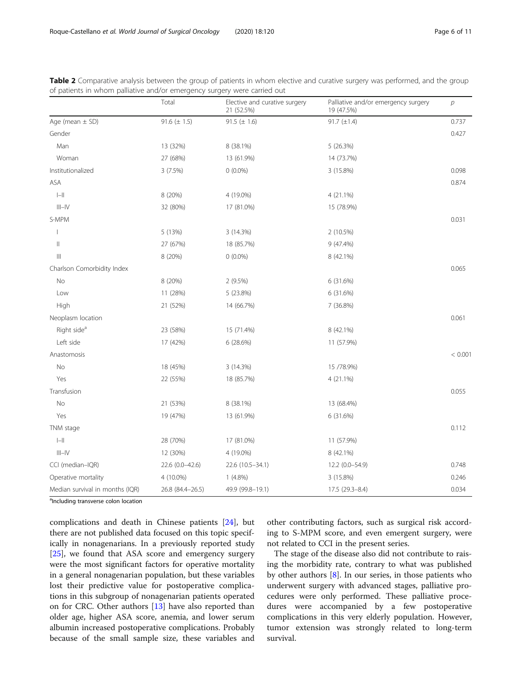|                                                                                                                                                                                                                                                                                                                                                                                                                              | Total            | Elective and curative surgery<br>21 (52.5%) | Palliative and/or emergency surgery<br>19 (47.5%) | $\overline{p}$ |
|------------------------------------------------------------------------------------------------------------------------------------------------------------------------------------------------------------------------------------------------------------------------------------------------------------------------------------------------------------------------------------------------------------------------------|------------------|---------------------------------------------|---------------------------------------------------|----------------|
| Age (mean $\pm$ SD)                                                                                                                                                                                                                                                                                                                                                                                                          | $91.6 (\pm 1.5)$ | 91.5 ( $\pm$ 1.6)                           | $91.7 (\pm 1.4)$                                  | 0.737          |
| Gender                                                                                                                                                                                                                                                                                                                                                                                                                       |                  |                                             |                                                   | 0.427          |
| Man                                                                                                                                                                                                                                                                                                                                                                                                                          | 13 (32%)         | 8 (38.1%)                                   | 5 (26.3%)                                         |                |
| Woman                                                                                                                                                                                                                                                                                                                                                                                                                        | 27 (68%)         | 13 (61.9%)                                  | 14 (73.7%)                                        |                |
| Institutionalized                                                                                                                                                                                                                                                                                                                                                                                                            | 3(7.5%)          | $0(0.0\%)$                                  | 3 (15.8%)                                         | 0.098          |
| ASA                                                                                                                                                                                                                                                                                                                                                                                                                          |                  |                                             |                                                   | 0.874          |
| $\left\vert -\right\vert$                                                                                                                                                                                                                                                                                                                                                                                                    | 8 (20%)          | 4 (19.0%)                                   | 4 (21.1%)                                         |                |
| $III - IV$                                                                                                                                                                                                                                                                                                                                                                                                                   | 32 (80%)         | 17 (81.0%)                                  | 15 (78.9%)                                        |                |
| S-MPM                                                                                                                                                                                                                                                                                                                                                                                                                        |                  |                                             |                                                   | 0.031          |
|                                                                                                                                                                                                                                                                                                                                                                                                                              | 5 (13%)          | 3 (14.3%)                                   | 2 (10.5%)                                         |                |
| $\label{eq:1} \prod_{i=1}^n \alpha_i \, \prod_{i=1}^n \alpha_i \, \prod_{i=1}^n \alpha_i \, \prod_{i=1}^n \alpha_i \, \prod_{i=1}^n \alpha_i \, \prod_{i=1}^n \alpha_i \, \prod_{i=1}^n \alpha_i \, \prod_{i=1}^n \alpha_i \, \prod_{i=1}^n \alpha_i \, \prod_{i=1}^n \alpha_i \, \prod_{i=1}^n \alpha_i \, \prod_{i=1}^n \alpha_i \, \prod_{i=1}^n \alpha_i \, \prod_{i=1}^n \alpha_i \, \prod_{i=1}^n \alpha_i \, \prod_{$ | 27 (67%)         | 18 (85.7%)                                  | 9 (47.4%)                                         |                |
| $\left\vert \right\vert \right\vert$                                                                                                                                                                                                                                                                                                                                                                                         | 8 (20%)          | $0(0.0\%)$                                  | 8 (42.1%)                                         |                |
| Charlson Comorbidity Index                                                                                                                                                                                                                                                                                                                                                                                                   |                  |                                             |                                                   | 0.065          |
| No                                                                                                                                                                                                                                                                                                                                                                                                                           | 8 (20%)          | $2(9.5\%)$                                  | 6 (31.6%)                                         |                |
| Low                                                                                                                                                                                                                                                                                                                                                                                                                          | 11 (28%)         | 5 (23.8%)                                   | 6 (31.6%)                                         |                |
| High                                                                                                                                                                                                                                                                                                                                                                                                                         | 21 (52%)         | 14 (66.7%)                                  | 7 (36.8%)                                         |                |
| Neoplasm location                                                                                                                                                                                                                                                                                                                                                                                                            |                  |                                             |                                                   | 0.061          |
| Right side <sup>a</sup>                                                                                                                                                                                                                                                                                                                                                                                                      | 23 (58%)         | 15 (71.4%)                                  | 8 (42.1%)                                         |                |
| Left side                                                                                                                                                                                                                                                                                                                                                                                                                    | 17 (42%)         | 6 (28.6%)                                   | 11 (57.9%)                                        |                |
| Anastomosis                                                                                                                                                                                                                                                                                                                                                                                                                  |                  |                                             |                                                   | < 0.001        |
| No                                                                                                                                                                                                                                                                                                                                                                                                                           | 18 (45%)         | 3 (14.3%)                                   | 15 / 78.9%)                                       |                |
| Yes                                                                                                                                                                                                                                                                                                                                                                                                                          | 22 (55%)         | 18 (85.7%)                                  | 4 (21.1%)                                         |                |
| Transfusion                                                                                                                                                                                                                                                                                                                                                                                                                  |                  |                                             |                                                   | 0.055          |
| <b>No</b>                                                                                                                                                                                                                                                                                                                                                                                                                    | 21 (53%)         | 8 (38.1%)                                   | 13 (68.4%)                                        |                |
| Yes                                                                                                                                                                                                                                                                                                                                                                                                                          | 19 (47%)         | 13 (61.9%)                                  | 6 (31.6%)                                         |                |
| TNM stage                                                                                                                                                                                                                                                                                                                                                                                                                    |                  |                                             |                                                   | 0.112          |
| $\left\vert -\right\vert \right\vert$                                                                                                                                                                                                                                                                                                                                                                                        | 28 (70%)         | 17 (81.0%)                                  | 11 (57.9%)                                        |                |
| $III - IV$                                                                                                                                                                                                                                                                                                                                                                                                                   | 12 (30%)         | 4 (19.0%)                                   | 8 (42.1%)                                         |                |
| CCI (median-IQR)                                                                                                                                                                                                                                                                                                                                                                                                             | 22.6 (0.0-42.6)  | 22.6 (10.5-34.1)                            | 12.2 (0.0-54.9)                                   | 0.748          |
| Operative mortality                                                                                                                                                                                                                                                                                                                                                                                                          | 4 (10.0%)        | $1(4.8\%)$                                  | 3 (15.8%)                                         | 0.246          |
| Median survival in months (IQR)                                                                                                                                                                                                                                                                                                                                                                                              | 26.8 (84.4-26.5) | 49.9 (99.8-19.1)                            | 17.5 (29.3-8.4)                                   | 0.034          |

<span id="page-5-0"></span>Table 2 Comparative analysis between the group of patients in whom elective and curative surgery was performed, and the group of patients in whom palliative and/or emergency surgery were carried out

<sup>a</sup>Including transverse colon location

complications and death in Chinese patients [[24\]](#page-10-0), but there are not published data focused on this topic specifically in nonagenarians. In a previously reported study [[25\]](#page-10-0), we found that ASA score and emergency surgery were the most significant factors for operative mortality in a general nonagenarian population, but these variables lost their predictive value for postoperative complications in this subgroup of nonagenarian patients operated on for CRC. Other authors [[13\]](#page-10-0) have also reported than older age, higher ASA score, anemia, and lower serum albumin increased postoperative complications. Probably because of the small sample size, these variables and

other contributing factors, such as surgical risk according to S-MPM score, and even emergent surgery, were not related to CCI in the present series.

The stage of the disease also did not contribute to raising the morbidity rate, contrary to what was published by other authors [\[8](#page-9-0)]. In our series, in those patients who underwent surgery with advanced stages, palliative procedures were only performed. These palliative procedures were accompanied by a few postoperative complications in this very elderly population. However, tumor extension was strongly related to long-term survival.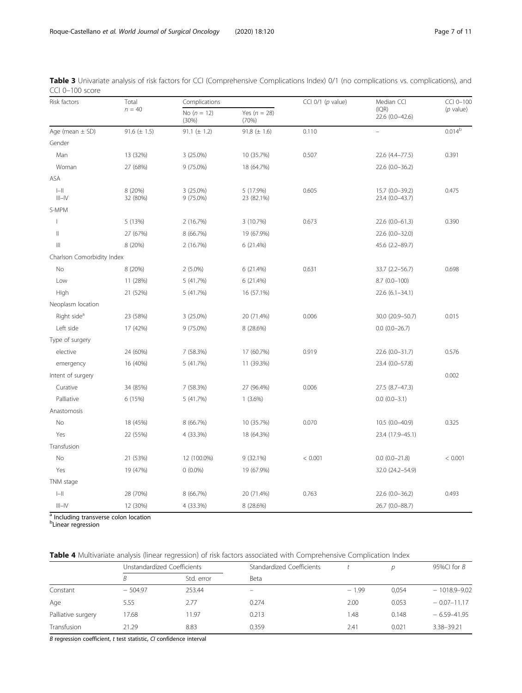| Risk factors                                              | Total               | Complications          |                           | CCI $0/1$ ( $p$ value) | Median CCI                         | CCI 0-100   |
|-----------------------------------------------------------|---------------------|------------------------|---------------------------|------------------------|------------------------------------|-------------|
|                                                           | $n = 40$            | No $(n = 12)$<br>(30%) | Yes ( $n = 28$ )<br>(70%) |                        | (IQR)<br>22.6 (0.0-42.6)           | $(p$ value) |
| Age (mean $\pm$ SD)                                       | 91.6 $(\pm 1.5)$    | 91.1 $(\pm 1.2)$       | 91.8 $(\pm 1.6)$          | 0.110                  | $\overline{\phantom{0}}$           | $0.014^{b}$ |
| Gender                                                    |                     |                        |                           |                        |                                    |             |
| Man                                                       | 13 (32%)            | 3 (25.0%)              | 10 (35.7%)                | 0.507                  | 22.6 (4.4-77.5)                    | 0.391       |
| Woman                                                     | 27 (68%)            | 9 (75.0%)              | 18 (64.7%)                |                        | 22.6 (0.0-36.2)                    |             |
| ASA                                                       |                     |                        |                           |                        |                                    |             |
| $\left\vert -\right\vert$<br>$\vert\vert\vert-\vert\vert$ | 8 (20%)<br>32 (80%) | 3 (25.0%)<br>9 (75.0%) | 5 (17.9%)<br>23 (82.1%)   | 0.605                  | 15.7 (0.0-39.2)<br>23.4 (0.0-43.7) | 0.475       |
| S-MPM                                                     |                     |                        |                           |                        |                                    |             |
| J                                                         | 5 (13%)             | 2 (16.7%)              | 3 (10.7%)                 | 0.673                  | 22.6 (0.0-61.3)                    | 0.390       |
| $\parallel$                                               | 27 (67%)            | 8 (66.7%)              | 19 (67.9%)                |                        | 22.6 (0.0-32.0)                    |             |
| $\  \ $                                                   | 8 (20%)             | 2 (16.7%)              | 6 (21.4%)                 |                        | 45.6 (2.2-89.7)                    |             |
| Charlson Comorbidity Index                                |                     |                        |                           |                        |                                    |             |
| No                                                        | 8 (20%)             | $2(5.0\%)$             | 6 (21.4%)                 | 0.631                  | 33.7 (2.2-56.7)                    | 0.698       |
| Low                                                       | 11 (28%)            | 5 (41.7%)              | 6 (21.4%)                 |                        | $8.7(0.0-100)$                     |             |
| Hlgh                                                      | 21 (52%)            | 5 (41.7%)              | 16 (57.1%)                |                        | $22.6(6.1 - 34.1)$                 |             |
| Neoplasm location                                         |                     |                        |                           |                        |                                    |             |
| Right side <sup>a</sup>                                   | 23 (58%)            | 3 (25.0%)              | 20 (71.4%)                | 0.006                  | 30.0 (20.9-50.7)                   | 0.015       |
| Left side                                                 | 17 (42%)            | 9 (75.0%)              | 8 (28.6%)                 |                        | $0.0 (0.0 - 26.7)$                 |             |
| Type of surgery                                           |                     |                        |                           |                        |                                    |             |
| elective                                                  | 24 (60%)            | 7 (58.3%)              | 17 (60.7%)                | 0.919                  | 22.6 (0.0-31.7)                    | 0.576       |
| emergency                                                 | 16 (40%)            | 5 (41.7%)              | 11 (39.3%)                |                        | 23.4 (0.0-57.8)                    |             |
| Intent of surgery                                         |                     |                        |                           |                        |                                    | 0.002       |
| Curative                                                  | 34 (85%)            | 7 (58.3%)              | 27 (96.4%)                | 0.006                  | 27.5 (8.7-47.3)                    |             |
| Palliative                                                | 6 (15%)             | 5(41.7%)               | $1(3.6\%)$                |                        | $0.0 (0.0 - 3.1)$                  |             |
| Anastomosis                                               |                     |                        |                           |                        |                                    |             |
| No                                                        | 18 (45%)            | 8 (66.7%)              | 10 (35.7%)                | 0.070                  | 10.5 (0.0-40.9)                    | 0.325       |
| Yes                                                       | 22 (55%)            | 4 (33.3%)              | 18 (64.3%)                |                        | 23.4 (17.9-45.1)                   |             |
| Transfusion                                               |                     |                        |                           |                        |                                    |             |
| No                                                        | 21 (53%)            | 12 (100.0%)            | $9(32.1\%)$               | < 0.001                | $0.0$ $(0.0-21.8)$                 | < 0.001     |
| Yes                                                       | 19 (47%)            | $0(0.0\%)$             | 19 (67.9%)                |                        | 32.0 (24.2-54.9)                   |             |
| TNM stage                                                 |                     |                        |                           |                        |                                    |             |
| $\left\vert -\right\vert$                                 | 28 (70%)            | 8 (66.7%)              | 20 (71.4%)                | 0.763                  | 22.6 (0.0-36.2)                    | 0.493       |
| $III - IV$                                                | 12 (30%)            | 4 (33.3%)              | 8 (28.6%)                 |                        | 26.7 (0.0-88.7)                    |             |

<span id="page-6-0"></span>Table 3 Univariate analysis of risk factors for CCI (Comprehensive Complications Index) 0/1 (no complications vs. complications), and CCI 0–100 score

<sup>1</sup> Including transverse colon location

b Linear regression

# Table 4 Multivariate analysis (linear regression) of risk factors associated with Comprehensive Complication Index

|                    | Unstandardized Coefficients |            | Standardized Coefficients |         | D     | 95%Cl for $B$    |
|--------------------|-----------------------------|------------|---------------------------|---------|-------|------------------|
|                    | B                           | Std. error | Beta                      |         |       |                  |
| Constant           | $-504.97$                   | 253.44     |                           | $-1.99$ | 0.054 | $-1018.9 - 9.02$ |
| Age                | 5.55                        | 2.77       | 0.274                     | 2.00    | 0.053 | $-0.07-11.17$    |
| Palliative surgery | 17.68                       | 11.97      | 0.213                     | 1.48    | 0.148 | $-6.59 - 41.95$  |
| Transfusion        | 21.29                       | 8.83       | 0.359                     | 2.41    | 0.021 | 3.38-39.21       |

 $B$  regression coefficient,  $t$  test statistic,  $CI$  confidence interval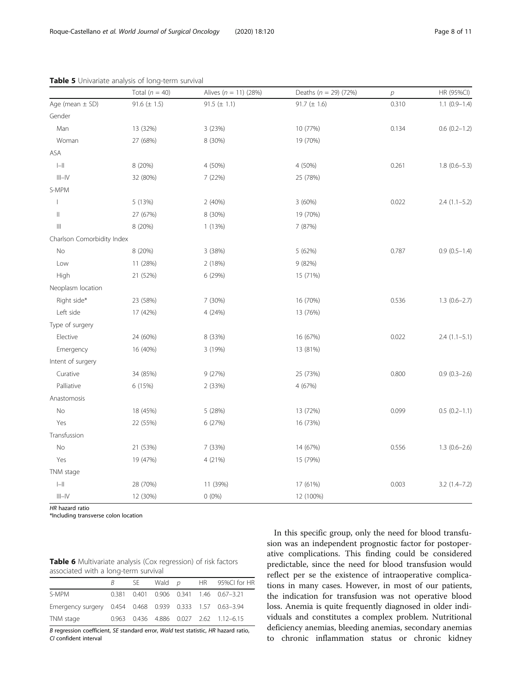|                                       | Total $(n = 40)$ | Alives $(n = 11)$ (28%) | Deaths ( $n = 29$ ) (72%) | $\overline{p}$ | HR (95%CI)        |
|---------------------------------------|------------------|-------------------------|---------------------------|----------------|-------------------|
| Age (mean $\pm$ SD)                   | 91.6 $(\pm 1.5)$ | 91.5 ( $\pm$ 1.1)       | 91.7 $(\pm 1.6)$          | 0.310          | $1.1 (0.9 - 1.4)$ |
| Gender                                |                  |                         |                           |                |                   |
| Man                                   | 13 (32%)         | 3 (23%)                 | 10 (77%)                  | 0.134          | $0.6(0.2 - 1.2)$  |
| Woman                                 | 27 (68%)         | 8 (30%)                 | 19 (70%)                  |                |                   |
| ASA                                   |                  |                         |                           |                |                   |
| $\left\vert -\right\vert \right\vert$ | 8 (20%)          | 4 (50%)                 | 4 (50%)                   | 0.261          | $1.8(0.6-5.3)$    |
| $\vert\vert\vert-\vert\vert$          | 32 (80%)         | 7(22%)                  | 25 (78%)                  |                |                   |
| S-MPM                                 |                  |                         |                           |                |                   |
|                                       | 5 (13%)          | 2(40%)                  | 3(60%)                    | 0.022          | $2.4(1.1-5.2)$    |
| $\vert\vert$                          | 27 (67%)         | 8 (30%)                 | 19 (70%)                  |                |                   |
| $\left\vert \right\vert \right\vert$  | 8 (20%)          | 1(13%)                  | 7 (87%)                   |                |                   |
| Charlson Comorbidity Index            |                  |                         |                           |                |                   |
| No                                    | 8 (20%)          | 3 (38%)                 | 5 (62%)                   | 0.787          | $0.9(0.5-1.4)$    |
| Low                                   | 11 (28%)         | 2 (18%)                 | 9 (82%)                   |                |                   |
| High                                  | 21 (52%)         | 6 (29%)                 | 15 (71%)                  |                |                   |
| Neoplasm location                     |                  |                         |                           |                |                   |
| Right side*                           | 23 (58%)         | 7 (30%)                 | 16 (70%)                  | 0.536          | $1.3(0.6-2.7)$    |
| Left side                             | 17 (42%)         | 4 (24%)                 | 13 (76%)                  |                |                   |
| Type of surgery                       |                  |                         |                           |                |                   |
| Elective                              | 24 (60%)         | 8 (33%)                 | 16 (67%)                  | 0.022          | $2.4(1.1-5.1)$    |
| Emergency                             | 16 (40%)         | 3 (19%)                 | 13 (81%)                  |                |                   |
| Intent of surgery                     |                  |                         |                           |                |                   |
| Curative                              | 34 (85%)         | 9 (27%)                 | 25 (73%)                  | 0.800          | $0.9(0.3-2.6)$    |
| Palliative                            | 6 (15%)          | 2 (33%)                 | 4 (67%)                   |                |                   |
| Anastomosis                           |                  |                         |                           |                |                   |
| No                                    | 18 (45%)         | 5 (28%)                 | 13 (72%)                  | 0.099          | $0.5(0.2 - 1.1)$  |
| Yes                                   | 22 (55%)         | 6 (27%)                 | 16 (73%)                  |                |                   |
| Transfussion                          |                  |                         |                           |                |                   |
| No                                    | 21 (53%)         | 7 (33%)                 | 14 (67%)                  | 0.556          | $1.3(0.6-2.6)$    |
| Yes                                   | 19 (47%)         | 4 (21%)                 | 15 (79%)                  |                |                   |
| TNM stage                             |                  |                         |                           |                |                   |
| $\left\vert -\right\vert \right\vert$ | 28 (70%)         | 11 (39%)                | 17 (61%)                  | 0.003          | $3.2(1.4 - 7.2)$  |
| $\vert\vert\vert-\vert\vert$          | 12 (30%)         | $0(0\%)$                | 12 (100%)                 |                |                   |

<span id="page-7-0"></span>Table 5 Univariate analysis of long-term survival

HR hazard ratio

\*Including transverse colon location

| <b>Table 6</b> Multivariate analysis (Cox regression) of risk factors |  |
|-----------------------------------------------------------------------|--|
| associated with a long-term survival                                  |  |

|  |  | SE Wald $p$ HR 95%CI for HR<br>0.381 0.401 0.906 0.341 1.46 0.67-3.21<br>Emergency surgery 0.454 0.468 0.939 0.333 1.57 0.63-3.94<br>0.963 0.436 4.886 0.027 2.62 1.12-6.15 |
|--|--|-----------------------------------------------------------------------------------------------------------------------------------------------------------------------------|

B regression coefficient, SE standard error, Wald test statistic, HR hazard ratio, CI confident interval

In this specific group, only the need for blood transfusion was an independent prognostic factor for postoperative complications. This finding could be considered predictable, since the need for blood transfusion would reflect per se the existence of intraoperative complications in many cases. However, in most of our patients, the indication for transfusion was not operative blood loss. Anemia is quite frequently diagnosed in older individuals and constitutes a complex problem. Nutritional deficiency anemias, bleeding anemias, secondary anemias to chronic inflammation status or chronic kidney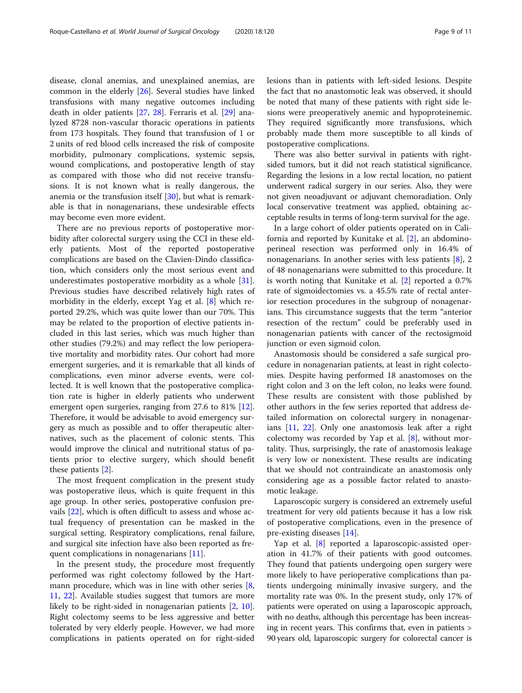disease, clonal anemias, and unexplained anemias, are common in the elderly [\[26](#page-10-0)]. Several studies have linked transfusions with many negative outcomes including death in older patients [[27](#page-10-0), [28](#page-10-0)]. Ferraris et al. [[29\]](#page-10-0) analyzed 8728 non-vascular thoracic operations in patients from 173 hospitals. They found that transfusion of 1 or 2 units of red blood cells increased the risk of composite morbidity, pulmonary complications, systemic sepsis, wound complications, and postoperative length of stay as compared with those who did not receive transfusions. It is not known what is really dangerous, the anemia or the transfusion itself [[30\]](#page-10-0), but what is remarkable is that in nonagenarians, these undesirable effects may become even more evident.

There are no previous reports of postoperative morbidity after colorectal surgery using the CCI in these elderly patients. Most of the reported postoperative complications are based on the Clavien-Dindo classification, which considers only the most serious event and underestimates postoperative morbidity as a whole [\[31](#page-10-0)]. Previous studies have described relatively high rates of morbidity in the elderly, except Yag et al. [[8\]](#page-9-0) which reported 29.2%, which was quite lower than our 70%. This may be related to the proportion of elective patients included in this last series, which was much higher than other studies (79.2%) and may reflect the low perioperative mortality and morbidity rates. Our cohort had more emergent surgeries, and it is remarkable that all kinds of complications, even minor adverse events, were collected. It is well known that the postoperative complication rate is higher in elderly patients who underwent emergent open surgeries, ranging from 27.6 to 81% [\[12](#page-10-0)]. Therefore, it would be advisable to avoid emergency surgery as much as possible and to offer therapeutic alternatives, such as the placement of colonic stents. This would improve the clinical and nutritional status of patients prior to elective surgery, which should benefit these patients [[2\]](#page-9-0).

The most frequent complication in the present study was postoperative ileus, which is quite frequent in this age group. In other series, postoperative confusion prevails [[22](#page-10-0)], which is often difficult to assess and whose actual frequency of presentation can be masked in the surgical setting. Respiratory complications, renal failure, and surgical site infection have also been reported as fre-quent complications in nonagenarians [\[11\]](#page-10-0).

In the present study, the procedure most frequently performed was right colectomy followed by the Hartmann procedure, which was in line with other series [\[8](#page-9-0), [11,](#page-10-0) [22](#page-10-0)]. Available studies suggest that tumors are more likely to be right-sided in nonagenarian patients [[2,](#page-9-0) [10](#page-10-0)]. Right colectomy seems to be less aggressive and better tolerated by very elderly people. However, we had more complications in patients operated on for right-sided lesions than in patients with left-sided lesions. Despite the fact that no anastomotic leak was observed, it should be noted that many of these patients with right side lesions were preoperatively anemic and hypoproteinemic. They required significantly more transfusions, which probably made them more susceptible to all kinds of postoperative complications.

There was also better survival in patients with rightsided tumors, but it did not reach statistical significance. Regarding the lesions in a low rectal location, no patient underwent radical surgery in our series. Also, they were not given neoadjuvant or adjuvant chemoradiation. Only local conservative treatment was applied, obtaining acceptable results in terms of long-term survival for the age.

In a large cohort of older patients operated on in California and reported by Kunitake et al. [\[2](#page-9-0)], an abdominoperineal resection was performed only in 16.4% of nonagenarians. In another series with less patients [\[8\]](#page-9-0), 2 of 48 nonagenarians were submitted to this procedure. It is worth noting that Kunitake et al. [[2\]](#page-9-0) reported a 0.7% rate of sigmoidectomies vs. a 45.5% rate of rectal anterior resection procedures in the subgroup of nonagenarians. This circumstance suggests that the term "anterior resection of the rectum" could be preferably used in nonagenarian patients with cancer of the rectosigmoid junction or even sigmoid colon.

Anastomosis should be considered a safe surgical procedure in nonagenarian patients, at least in right colectomies. Despite having performed 18 anastomoses on the right colon and 3 on the left colon, no leaks were found. These results are consistent with those published by other authors in the few series reported that address detailed information on colorectal surgery in nonagenarians [[11,](#page-10-0) [22\]](#page-10-0). Only one anastomosis leak after a right colectomy was recorded by Yap et al. [[8\]](#page-9-0), without mortality. Thus, surprisingly, the rate of anastomosis leakage is very low or nonexistent. These results are indicating that we should not contraindicate an anastomosis only considering age as a possible factor related to anastomotic leakage.

Laparoscopic surgery is considered an extremely useful treatment for very old patients because it has a low risk of postoperative complications, even in the presence of pre-existing diseases [\[14](#page-10-0)].

Yap et al. [[8](#page-9-0)] reported a laparoscopic-assisted operation in 41.7% of their patients with good outcomes. They found that patients undergoing open surgery were more likely to have perioperative complications than patients undergoing minimally invasive surgery, and the mortality rate was 0%. In the present study, only 17% of patients were operated on using a laparoscopic approach, with no deaths, although this percentage has been increasing in recent years. This confirms that, even in patients > 90 years old, laparoscopic surgery for colorectal cancer is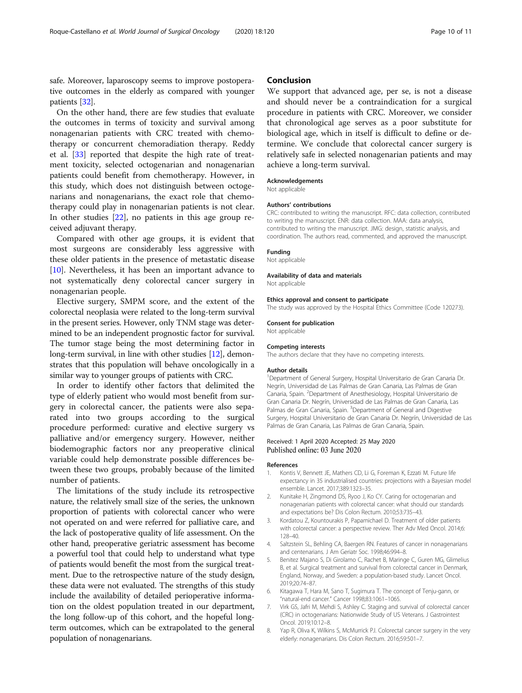<span id="page-9-0"></span>safe. Moreover, laparoscopy seems to improve postoperative outcomes in the elderly as compared with younger patients [[32](#page-10-0)].

On the other hand, there are few studies that evaluate the outcomes in terms of toxicity and survival among nonagenarian patients with CRC treated with chemotherapy or concurrent chemoradiation therapy. Reddy et al. [\[33](#page-10-0)] reported that despite the high rate of treatment toxicity, selected octogenarian and nonagenarian patients could benefit from chemotherapy. However, in this study, which does not distinguish between octogenarians and nonagenarians, the exact role that chemotherapy could play in nonagenarian patients is not clear. In other studies [\[22\]](#page-10-0), no patients in this age group received adjuvant therapy.

Compared with other age groups, it is evident that most surgeons are considerably less aggressive with these older patients in the presence of metastatic disease [[10\]](#page-10-0). Nevertheless, it has been an important advance to not systematically deny colorectal cancer surgery in nonagenarian people.

Elective surgery, SMPM score, and the extent of the colorectal neoplasia were related to the long-term survival in the present series. However, only TNM stage was determined to be an independent prognostic factor for survival. The tumor stage being the most determining factor in long-term survival, in line with other studies [\[12](#page-10-0)], demonstrates that this population will behave oncologically in a similar way to younger groups of patients with CRC.

In order to identify other factors that delimited the type of elderly patient who would most benefit from surgery in colorectal cancer, the patients were also separated into two groups according to the surgical procedure performed: curative and elective surgery vs palliative and/or emergency surgery. However, neither biodemographic factors nor any preoperative clinical variable could help demonstrate possible differences between these two groups, probably because of the limited number of patients.

The limitations of the study include its retrospective nature, the relatively small size of the series, the unknown proportion of patients with colorectal cancer who were not operated on and were referred for palliative care, and the lack of postoperative quality of life assessment. On the other hand, preoperative geriatric assessment has become a powerful tool that could help to understand what type of patients would benefit the most from the surgical treatment. Due to the retrospective nature of the study design, these data were not evaluated. The strengths of this study include the availability of detailed perioperative information on the oldest population treated in our department, the long follow-up of this cohort, and the hopeful longterm outcomes, which can be extrapolated to the general population of nonagenarians.

# Conclusion

We support that advanced age, per se, is not a disease and should never be a contraindication for a surgical procedure in patients with CRC. Moreover, we consider that chronological age serves as a poor substitute for biological age, which in itself is difficult to define or determine. We conclude that colorectal cancer surgery is relatively safe in selected nonagenarian patients and may achieve a long-term survival.

#### Acknowledgements

Not applicable

#### Authors' contributions

CRC: contributed to writing the manuscript. RFC: data collection, contributed to writing the manuscript. ENR: data collection. MAA: data analysis, contributed to writing the manuscript. JMG: design, statistic analysis, and coordination. The authors read, commented, and approved the manuscript.

## Funding

Not applicable

#### Availability of data and materials Not applicable

Ethics approval and consent to participate The study was approved by the Hospital Ethics Committee (Code 120273).

#### Consent for publication

Not applicable

#### Competing interests

The authors declare that they have no competing interests.

#### Author details

<sup>1</sup> Department of General Surgery, Hospital Universitario de Gran Canaria Dr. Negrín, Universidad de Las Palmas de Gran Canaria, Las Palmas de Gran Canaria, Spain. <sup>2</sup>Department of Anesthesiology, Hospital Universitario de Gran Canaria Dr. Negrín, Universidad de Las Palmas de Gran Canaria, Las Palmas de Gran Canaria, Spain. <sup>3</sup>Department of General and Digestive Surgery, Hospital Universitario de Gran Canaria Dr. Negrín, Universidad de Las Palmas de Gran Canaria, Las Palmas de Gran Canaria, Spain.

# Received: 1 April 2020 Accepted: 25 May 2020 Published online: 03 June 2020

#### References

- 1. Kontis V, Bennett JE, Mathers CD, Li G, Foreman K, Ezzati M. Future life expectancy in 35 industrialised countries: projections with a Bayesian model ensemble. Lancet. 2017;389:1323–35.
- 2. Kunitake H, Zingmond DS, Ryoo J, Ko CY. Caring for octogenarian and nonagenarian patients with colorectal cancer: what should our standards and expectations be? Dis Colon Rectum. 2010;53:735–43.
- 3. Kordatou Z, Kountourakis P, Papamichael D. Treatment of older patients with colorectal cancer: a perspective review. Ther Adv Med Oncol. 2014;6: 128–40.
- 4. Saltzstein SL, Behling CA, Baergen RN. Features of cancer in nonagenarians and centenarians. J Am Geriatr Soc. 1998;46:994–8.
- 5. Benitez Majano S, Di Girolamo C, Rachet B, Maringe C, Guren MG, Glimelius B, et al. Surgical treatment and survival from colorectal cancer in Denmark, England, Norway, and Sweden: a population-based study. Lancet Oncol. 2019;20:74–87.
- 6. Kitagawa T, Hara M, Sano T, Sugimura T. The concept of Tenju-gann, or "natural-end cancer." Cancer 1998;83:1061–1065.
- 7. Virk GS, Jafri M, Mehdi S, Ashley C. Staging and survival of colorectal cancer (CRC) in octogenarians: Nationwide Study of US Veterans. J Gastrointest Oncol. 2019;10:12–8.
- 8. Yap R, Oliva K, Wilkins S, McMurrick PJ. Colorectal cancer surgery in the very elderly: nonagenarians. Dis Colon Rectum. 2016;59:501–7.